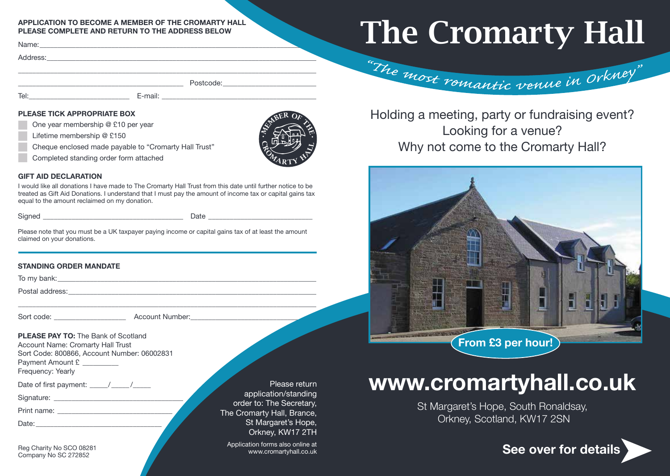#### **APPLICATION TO BECOME A MEMBER OF THE CROMARTY HALL PLEASE COMPLETE AND RETURN TO THE ADDRESS BELOW**

Name:\_\_\_\_\_\_\_\_\_\_\_\_\_\_\_\_\_\_\_\_\_\_\_\_\_\_\_\_\_\_\_\_\_\_\_\_\_\_\_\_\_\_\_\_\_\_\_\_\_\_\_\_\_\_\_\_\_\_\_\_\_\_\_\_\_\_\_\_\_\_\_\_\_\_\_\_\_

Address:\_\_\_\_\_\_\_\_\_\_\_\_\_\_\_\_\_\_\_\_\_\_\_\_\_\_\_\_\_\_\_\_\_\_\_\_\_\_\_\_\_\_\_\_\_\_\_\_\_\_\_\_\_\_\_\_\_\_\_\_\_\_\_\_\_\_\_\_\_\_\_\_\_\_\_

Tel:\_\_\_\_\_\_\_\_\_\_\_\_\_\_\_\_\_\_\_\_\_\_\_\_\_\_\_\_ E-mail: \_\_\_\_\_\_\_\_\_\_\_\_\_\_\_\_\_\_\_\_\_\_\_\_\_\_\_\_\_\_\_\_\_\_\_\_\_\_\_\_\_\_\_

 $\blacksquare$   $\blacksquare$   $\blacksquare$   $\blacksquare$   $\blacksquare$   $\blacksquare$   $\blacksquare$   $\blacksquare$   $\blacksquare$   $\blacksquare$   $\blacksquare$   $\blacksquare$   $\blacksquare$   $\blacksquare$   $\blacksquare$   $\blacksquare$   $\blacksquare$   $\blacksquare$   $\blacksquare$   $\blacksquare$   $\blacksquare$   $\blacksquare$   $\blacksquare$   $\blacksquare$   $\blacksquare$   $\blacksquare$   $\blacksquare$   $\blacksquare$   $\blacksquare$   $\blacksquare$   $\blacksquare$   $\blacks$ 

\_\_\_\_\_\_\_\_\_\_\_\_\_\_\_\_\_\_\_\_\_\_\_\_\_\_\_\_\_\_\_\_\_\_\_\_\_\_\_\_\_\_\_\_\_\_\_\_\_\_\_\_\_\_\_\_\_\_\_\_\_\_\_\_\_\_\_\_\_\_\_\_\_\_\_\_\_\_\_\_\_\_\_

### **PLEASE TICK APPROPRIATE BOX**

One year membership @ £10 per year

Lifetime membership @ £150

- Cheque enclosed made payable to "Cromarty Hall Trust"
- Completed standing order form attached

#### **GIFT AID DECLARATION**

I would like all donations I have made to The Cromarty Hall Trust from this date until further notice to be treated as Gift Aid Donations. I understand that I must pay the amount of income tax or capital gains tax equal to the amount reclaimed on my donation.

Signed **Example 2** Date  $\Box$ 

Please note that you must be a UK taxpayer paying income or capital gains tax of at least the amount claimed on your donations.

### **STANDING ORDER MANDATE**

To my bank:  $\Box$ 

Postal address:

Sort code: etc. and a secount Number:

\_\_\_\_\_\_\_\_\_\_\_\_\_\_\_\_\_\_\_\_\_\_\_\_\_\_\_\_\_\_\_\_\_\_\_\_\_\_\_\_\_\_\_\_\_\_\_\_\_\_\_\_\_\_\_\_\_\_\_\_\_\_\_\_\_\_\_\_\_\_\_\_\_\_\_\_\_\_\_\_\_\_\_

**PLEASE PAY TO:** The Bank of Scotland Account Name: Cromarty Hall Trust Sort Code: 800866, Account Number: 06002831 Payment Amount £ Frequency: Yearly

Date of first payment: \_\_\_\_\_\_ /\_\_\_\_\_ /

Signature:

Print name:  $\blacksquare$ 

Date:  $\Box$ 

Reg Charity No SCO 08281 Company No SC 272852

Please return application/standing order to: The Secretary, The Cromarty Hall, Brance, St Margaret's Hope, Orkney, KW17 2TH

> Application forms also online at www.cromartyhall.co.uk

## The Cromarty Hall

"The most romantic venue in Orkney"

Holding a meeting, party or fundraising event? Looking for a venue? Why not come to the Cromarty Hall?



### **www.cromartyhall.co.uk**

St Margaret's Hope, South Ronaldsay, Orkney, Scotland, KW17 2SN